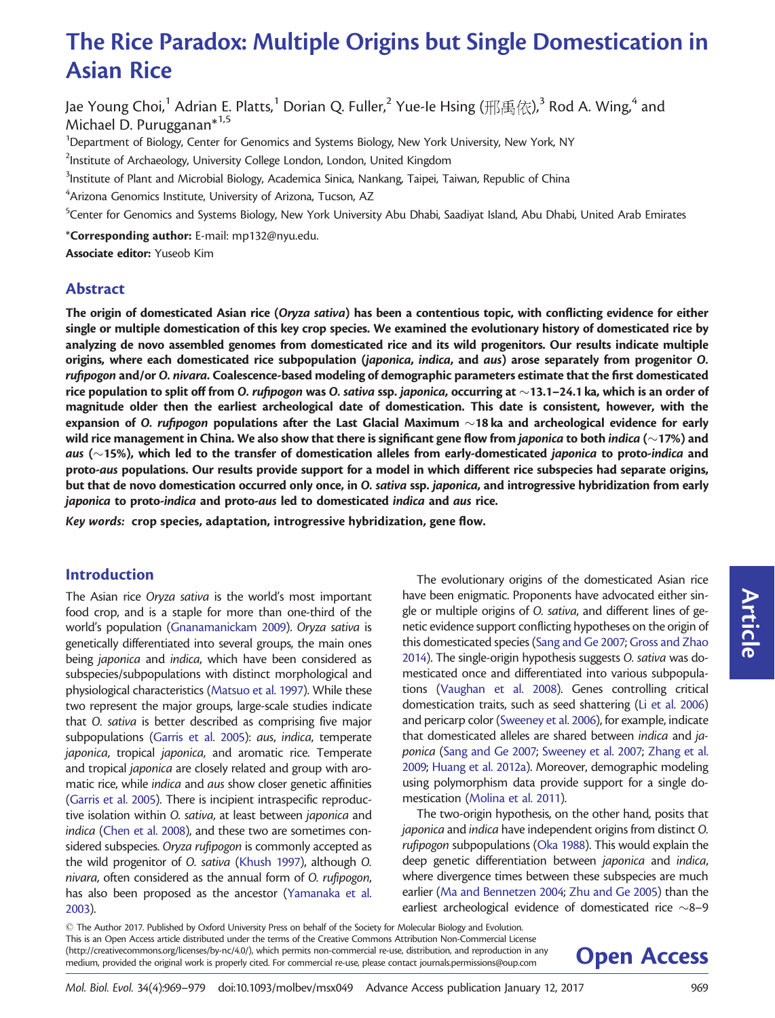# The Rice Paradox: Multiple Origins but Single Domestication in Asian Rice

Jae Young Choi,<sup>1</sup> Adrian E. Platts,<sup>1</sup> Dorian Q. Fuller,<sup>2</sup> Yue-Ie Hsing (邢禹依),<sup>3</sup> Rod A. Wing,<sup>4</sup> and Michael D. Purugganan<sup>\*1,5</sup>

<sup>1</sup>Department of Biology, Center for Genomics and Systems Biology, New York University, New York, NY

 $^{2}$ Institute of Archaeology, University College London, London, United Kingdom

 $^3$ Institute of Plant and Microbial Biology, Academica Sinica, Nankang, Taipei, Taiwan, Republic of China

 $\mathrm{^{4}A}$ rizona Genomics Institute, University of Arizona, Tucson, AZ

<sup>5</sup>Center for Genomics and Systems Biology, New York University Abu Dhabi, Saadiyat Island, Abu Dhabi, United Arab Emirates

\*Corresponding author: E-mail: mp132@nyu.edu.

Associate editor: Yuseob Kim

# Abstract

The origin of domesticated Asian rice (Oryza sativa) has been a contentious topic, with conflicting evidence for either single or multiple domestication of this key crop species. We examined the evolutionary history of domesticated rice by analyzing de novo assembled genomes from domesticated rice and its wild progenitors. Our results indicate multiple origins, where each domesticated rice subpopulation (japonica, indica, and aus) arose separately from progenitor O. rufipogon and/or O. nivara. Coalescence-based modeling of demographic parameters estimate that the first domesticated rice population to split off from O. *rufipogon w*as O. s*ativa s*sp. *japonica,* occurring at  $\sim$ 13.1–24.1 ka, which is an order of magnitude older then the earliest archeological date of domestication. This date is consistent, however, with the expansion of O. *rufipogon* populations after the Last Glacial Maximum  $\sim$ 18ka and archeological evidence for early wild rice management in China. We also show that there is significant gene flow from *japonica* to both *indica* (~17%) and *aus* ( $\sim$ 15%), which led to the transfer of domestication alleles from early-domesticated j*aponica* to proto-*indica* and proto-aus populations. Our results provide support for a model in which different rice subspecies had separate origins, but that de novo domestication occurred only once, in O. sativa ssp. japonica, and introgressive hybridization from early japonica to proto-indica and proto-aus led to domesticated indica and aus rice.

Key words: crop species, adaptation, introgressive hybridization, gene flow.

# Introduction

The Asian rice Oryza sativa is the world's most important food crop, and is a staple for more than one-third of the world's population [\(Gnanamanickam 2009\)](#page-9-0). Oryza sativa is genetically differentiated into several groups, the main ones being japonica and indica, which have been considered as subspecies/subpopulations with distinct morphological and physiological characteristics [\(Matsuo et al. 1997\)](#page-9-0). While these two represent the major groups, large-scale studies indicate that O. sativa is better described as comprising five major subpopulations [\(Garris et al. 2005\)](#page-9-0): aus, indica, temperate japonica, tropical japonica, and aromatic rice. Temperate and tropical japonica are closely related and group with aromatic rice, while indica and aus show closer genetic affinities ([Garris et al. 2005\)](#page-9-0). There is incipient intraspecific reproductive isolation within O. sativa, at least between japonica and indica [\(Chen et al. 2008](#page-8-0)), and these two are sometimes considered subspecies. Oryza rufipogon is commonly accepted as the wild progenitor of O. sativa [\(Khush 1997\)](#page-9-0), although O. nivara, often considered as the annual form of O. rufipogon, has also been proposed as the ancestor ([Yamanaka et al.](#page-10-0) [2003\)](#page-10-0).

The evolutionary origins of the domesticated Asian rice have been enigmatic. Proponents have advocated either single or multiple origins of O. sativa, and different lines of genetic evidence support conflicting hypotheses on the origin of this domesticated species [\(Sang and Ge 2007](#page-9-0); [Gross and Zhao](#page-9-0) [2014\)](#page-9-0). The single-origin hypothesis suggests O. sativa was domesticated once and differentiated into various subpopulations [\(Vaughan et al. 2008\)](#page-10-0). Genes controlling critical domestication traits, such as seed shattering ([Li et al. 2006](#page-9-0)) and pericarp color [\(Sweeney et al. 2006\)](#page-10-0), for example, indicate that domesticated alleles are shared between indica and japonica [\(Sang and Ge 2007](#page-9-0); [Sweeney et al. 2007](#page-10-0); [Zhang et al.](#page-10-0) [2009;](#page-10-0) [Huang et al. 2012a](#page-9-0)). Moreover, demographic modeling using polymorphism data provide support for a single domestication ([Molina et al. 2011\)](#page-9-0).

The two-origin hypothesis, on the other hand, posits that japonica and indica have independent origins from distinct O. rufipogon subpopulations [\(Oka 1988\)](#page-9-0). This would explain the deep genetic differentiation between japonica and indica, where divergence times between these subspecies are much earlier [\(Ma and Bennetzen 2004](#page-9-0); [Zhu and Ge 2005](#page-10-0)) than the earliest archeological evidence of domesticated rice  $\sim$ 8-9

- The Author 2017. Published by Oxford University Press on behalf of the Society for Molecular Biology and Evolution. This is an Open Access article distributed under the terms of the Creative Commons Attribution Non-Commercial License (http://creativecommons.org/licenses/by-nc/4.0/), which permits non-commercial re-use, distribution, and reproduction in any **Open Access** 

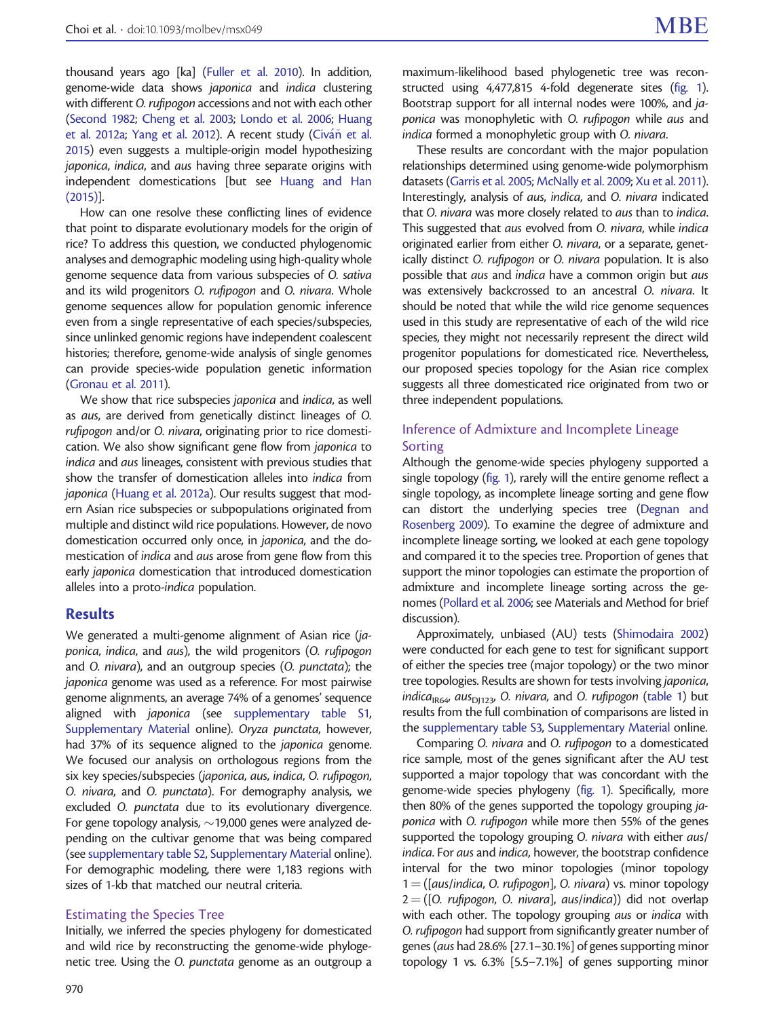thousand years ago [ka] ([Fuller et al. 2010](#page-9-0)). In addition, genome-wide data shows japonica and indica clustering with different O. rufipogon accessions and not with each other ([Second 1982;](#page-9-0) [Cheng et al. 2003](#page-8-0); [Londo et al. 2006;](#page-9-0) [Huang](#page-9-0) [et al. 2012a](#page-9-0); [Yang et al. 2012\)](#page-10-0). A recent study [\(Civ](#page-8-0)áň [et al.](#page-8-0) [2015\)](#page-8-0) even suggests a multiple-origin model hypothesizing japonica, indica, and aus having three separate origins with independent domestications [but see [Huang and Han](#page-9-0) [\(2015\)](#page-9-0)].

How can one resolve these conflicting lines of evidence that point to disparate evolutionary models for the origin of rice? To address this question, we conducted phylogenomic analyses and demographic modeling using high-quality whole genome sequence data from various subspecies of O. sativa and its wild progenitors O. rufipogon and O. nivara. Whole genome sequences allow for population genomic inference even from a single representative of each species/subspecies, since unlinked genomic regions have independent coalescent histories; therefore, genome-wide analysis of single genomes can provide species-wide population genetic information ([Gronau et al. 2011\)](#page-9-0).

We show that rice subspecies *japonica* and *indica*, as well as aus, are derived from genetically distinct lineages of O. rufipogon and/or O. nivara, originating prior to rice domestication. We also show significant gene flow from japonica to indica and aus lineages, consistent with previous studies that show the transfer of domestication alleles into indica from japonica ([Huang et al. 2012a](#page-9-0)). Our results suggest that modern Asian rice subspecies or subpopulations originated from multiple and distinct wild rice populations. However, de novo domestication occurred only once, in japonica, and the domestication of indica and aus arose from gene flow from this early japonica domestication that introduced domestication alleles into a proto-indica population.

# Results

We generated a multi-genome alignment of Asian rice (japonica, indica, and aus), the wild progenitors (O. rufipogon and O. nivara), and an outgroup species (O. punctata); the japonica genome was used as a reference. For most pairwise genome alignments, an average 74% of a genomes' sequence aligned with japonica (see [supplementary table S1,](http://mbe.oxfordjournals.org/lookup/suppl/doi:10.1093/molbev/msx049/-/DC1) [Supplementary Material](http://mbe.oxfordjournals.org/lookup/suppl/doi:10.1093/molbev/msx049/-/DC1) online). Oryza punctata, however, had 37% of its sequence aligned to the japonica genome. We focused our analysis on orthologous regions from the six key species/subspecies (japonica, aus, indica, O. rufipogon, O. nivara, and O. punctata). For demography analysis, we excluded O. punctata due to its evolutionary divergence. For gene topology analysis,  $\sim$  19,000 genes were analyzed depending on the cultivar genome that was being compared (see [supplementary table S2,](http://mbe.oxfordjournals.org/lookup/suppl/doi:10.1093/molbev/msx049/-/DC1) [Supplementary Material](http://mbe.oxfordjournals.org/lookup/suppl/doi:10.1093/molbev/msx049/-/DC1) online). For demographic modeling, there were 1,183 regions with sizes of 1-kb that matched our neutral criteria.

# Estimating the Species Tree

Initially, we inferred the species phylogeny for domesticated and wild rice by reconstructing the genome-wide phylogenetic tree. Using the O. punctata genome as an outgroup a

maximum-likelihood based phylogenetic tree was reconstructed using 4,477,815 4-fold degenerate sites [\(fig. 1\)](#page-2-0). Bootstrap support for all internal nodes were 100%, and japonica was monophyletic with O. rufipogon while aus and indica formed a monophyletic group with O. nivara.

These results are concordant with the major population relationships determined using genome-wide polymorphism datasets [\(Garris et al. 2005;](#page-9-0) [McNally et al. 2009;](#page-9-0) [Xu et al. 2011\)](#page-10-0). Interestingly, analysis of aus, indica, and O. nivara indicated that O. nivara was more closely related to aus than to indica. This suggested that aus evolved from O. nivara, while indica originated earlier from either O. nivara, or a separate, genetically distinct O. rufipogon or O. nivara population. It is also possible that aus and indica have a common origin but aus was extensively backcrossed to an ancestral O. nivara. It should be noted that while the wild rice genome sequences used in this study are representative of each of the wild rice species, they might not necessarily represent the direct wild progenitor populations for domesticated rice. Nevertheless, our proposed species topology for the Asian rice complex suggests all three domesticated rice originated from two or three independent populations.

# Inference of Admixture and Incomplete Lineage Sorting

Although the genome-wide species phylogeny supported a single topology ([fig. 1\)](#page-2-0), rarely will the entire genome reflect a single topology, as incomplete lineage sorting and gene flow can distort the underlying species tree [\(Degnan and](#page-9-0) [Rosenberg 2009](#page-9-0)). To examine the degree of admixture and incomplete lineage sorting, we looked at each gene topology and compared it to the species tree. Proportion of genes that support the minor topologies can estimate the proportion of admixture and incomplete lineage sorting across the genomes ([Pollard et al. 2006](#page-9-0); see Materials and Method for brief discussion).

Approximately, unbiased (AU) tests [\(Shimodaira 2002](#page-10-0)) were conducted for each gene to test for significant support of either the species tree (major topology) or the two minor tree topologies. Results are shown for tests involving japonica, indica<sub>IR64</sub>, aus<sub>D1123</sub>, O. nivara, and O. rufipogon [\(table 1](#page-3-0)) but results from the full combination of comparisons are listed in the [supplementary table S3,](http://mbe.oxfordjournals.org/lookup/suppl/doi:10.1093/molbev/msx049/-/DC1) [Supplementary Material](http://mbe.oxfordjournals.org/lookup/suppl/doi:10.1093/molbev/msx049/-/DC1) online.

Comparing O. nivara and O. rufipogon to a domesticated rice sample, most of the genes significant after the AU test supported a major topology that was concordant with the genome-wide species phylogeny [\(fig. 1](#page-2-0)). Specifically, more then 80% of the genes supported the topology grouping japonica with O. rufipogon while more then 55% of the genes supported the topology grouping O. nivara with either aus/ indica. For aus and indica, however, the bootstrap confidence interval for the two minor topologies (minor topology  $1 = ($ [aus/indica, O. rufipogon], O. nivara) vs. minor topology  $2 = ([0. rufipogon, 0. nivara], aus/index)$  did not overlap with each other. The topology grouping aus or indica with O. rufipogon had support from significantly greater number of genes (aus had 28.6% [27.1–30.1%] of genes supporting minor topology 1 vs. 6.3% [5.5–7.1%] of genes supporting minor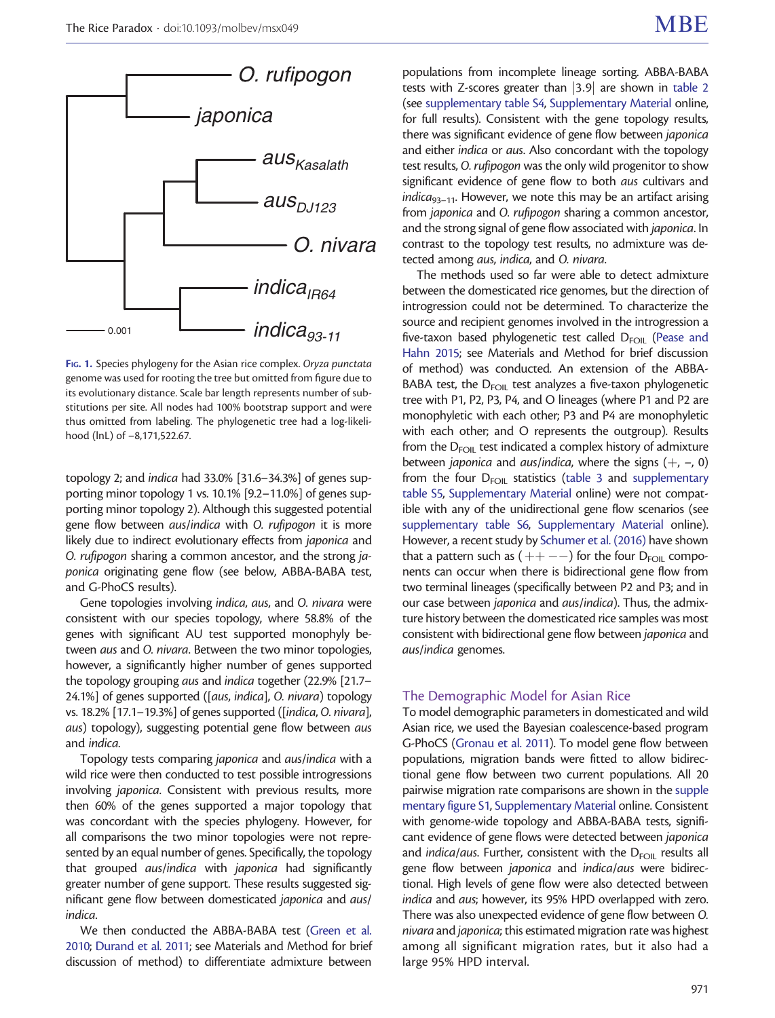<span id="page-2-0"></span>

FIG. 1. Species phylogeny for the Asian rice complex. Oryza punctata genome was used for rooting the tree but omitted from figure due to its evolutionary distance. Scale bar length represents number of substitutions per site. All nodes had 100% bootstrap support and were thus omitted from labeling. The phylogenetic tree had a log-likelihood (lnL) of –8,171,522.67.

topology 2; and indica had 33.0% [31.6–34.3%] of genes supporting minor topology 1 vs. 10.1% [9.2–11.0%] of genes supporting minor topology 2). Although this suggested potential gene flow between aus/indica with O. rufipogon it is more likely due to indirect evolutionary effects from japonica and O. rufipogon sharing a common ancestor, and the strong japonica originating gene flow (see below, ABBA-BABA test, and G-PhoCS results).

Gene topologies involving indica, aus, and O. nivara were consistent with our species topology, where 58.8% of the genes with significant AU test supported monophyly between aus and O. nivara. Between the two minor topologies, however, a significantly higher number of genes supported the topology grouping aus and indica together (22.9% [21.7– 24.1%] of genes supported ([aus, indica], O. nivara) topology vs. 18.2% [17.1–19.3%] of genes supported ([indica, O. nivara], aus) topology), suggesting potential gene flow between aus and indica.

Topology tests comparing japonica and aus/indica with a wild rice were then conducted to test possible introgressions involving japonica. Consistent with previous results, more then 60% of the genes supported a major topology that was concordant with the species phylogeny. However, for all comparisons the two minor topologies were not represented by an equal number of genes. Specifically, the topology that grouped aus/indica with japonica had significantly greater number of gene support. These results suggested significant gene flow between domesticated japonica and aus/ indica.

We then conducted the ABBA-BABA test [\(Green et al.](#page-9-0) [2010;](#page-9-0) [Durand et al. 2011;](#page-9-0) see Materials and Method for brief discussion of method) to differentiate admixture between

populations from incomplete lineage sorting. ABBA-BABA tests with Z-scores greater than  $|3.9|$  are shown in [table 2](#page-3-0) (see [supplementary table S4](http://mbe.oxfordjournals.org/lookup/suppl/doi:10.1093/molbev/msx049/-/DC1), [Supplementary Material](http://mbe.oxfordjournals.org/lookup/suppl/doi:10.1093/molbev/msx049/-/DC1) online, for full results). Consistent with the gene topology results, there was significant evidence of gene flow between japonica and either indica or aus. Also concordant with the topology test results, O. rufipogon was the only wild progenitor to show significant evidence of gene flow to both aus cultivars and  $indica_{93-11}$ . However, we note this may be an artifact arising from japonica and O. rufipogon sharing a common ancestor, and the strong signal of gene flow associated with japonica. In contrast to the topology test results, no admixture was detected among aus, indica, and O. nivara.

The methods used so far were able to detect admixture between the domesticated rice genomes, but the direction of introgression could not be determined. To characterize the source and recipient genomes involved in the introgression a five-taxon based phylogenetic test called  $D_{FOM}$  [\(Pease and](#page-9-0) [Hahn 2015](#page-9-0); see Materials and Method for brief discussion of method) was conducted. An extension of the ABBA-BABA test, the  $D_{FOL}$  test analyzes a five-taxon phylogenetic tree with P1, P2, P3, P4, and O lineages (where P1 and P2 are monophyletic with each other; P3 and P4 are monophyletic with each other; and O represents the outgroup). Results from the  $D_{FOM}$  test indicated a complex history of admixture between japonica and aus/indica, where the signs  $(+, -, 0)$ from the four  $D_{FOM}$  statistics [\(table 3](#page-4-0) and [supplementary](http://mbe.oxfordjournals.org/lookup/suppl/doi:10.1093/molbev/msx049/-/DC1) [table S5](http://mbe.oxfordjournals.org/lookup/suppl/doi:10.1093/molbev/msx049/-/DC1), [Supplementary Material](http://mbe.oxfordjournals.org/lookup/suppl/doi:10.1093/molbev/msx049/-/DC1) online) were not compatible with any of the unidirectional gene flow scenarios (see [supplementary table S6](http://mbe.oxfordjournals.org/lookup/suppl/doi:10.1093/molbev/msx049/-/DC1), [Supplementary Material](http://mbe.oxfordjournals.org/lookup/suppl/doi:10.1093/molbev/msx049/-/DC1) online). However, a recent study by [Schumer et al. \(2016\)](#page-9-0) have shown that a pattern such as  $(++--)$  for the four D<sub>FOIL</sub> components can occur when there is bidirectional gene flow from two terminal lineages (specifically between P2 and P3; and in our case between japonica and aus/indica). Thus, the admixture history between the domesticated rice samples was most consistent with bidirectional gene flow between japonica and aus/indica genomes.

# The Demographic Model for Asian Rice

To model demographic parameters in domesticated and wild Asian rice, we used the Bayesian coalescence-based program G-PhoCS [\(Gronau et al. 2011](#page-9-0)). To model gene flow between populations, migration bands were fitted to allow bidirectional gene flow between two current populations. All 20 pairwise migration rate comparisons are shown in the [supple](http://mbe.oxfordjournals.org/lookup/suppl/doi:10.1093/molbev/msx049/-/DC1) [mentary figure S1](http://mbe.oxfordjournals.org/lookup/suppl/doi:10.1093/molbev/msx049/-/DC1), [Supplementary Material](http://mbe.oxfordjournals.org/lookup/suppl/doi:10.1093/molbev/msx049/-/DC1) online. Consistent with genome-wide topology and ABBA-BABA tests, significant evidence of gene flows were detected between japonica and *indica/aus*. Further, consistent with the  $D_{FOL}$  results all gene flow between japonica and indica/aus were bidirectional. High levels of gene flow were also detected between indica and aus; however, its 95% HPD overlapped with zero. There was also unexpected evidence of gene flow between O. nivara and japonica; this estimated migration rate was highest among all significant migration rates, but it also had a large 95% HPD interval.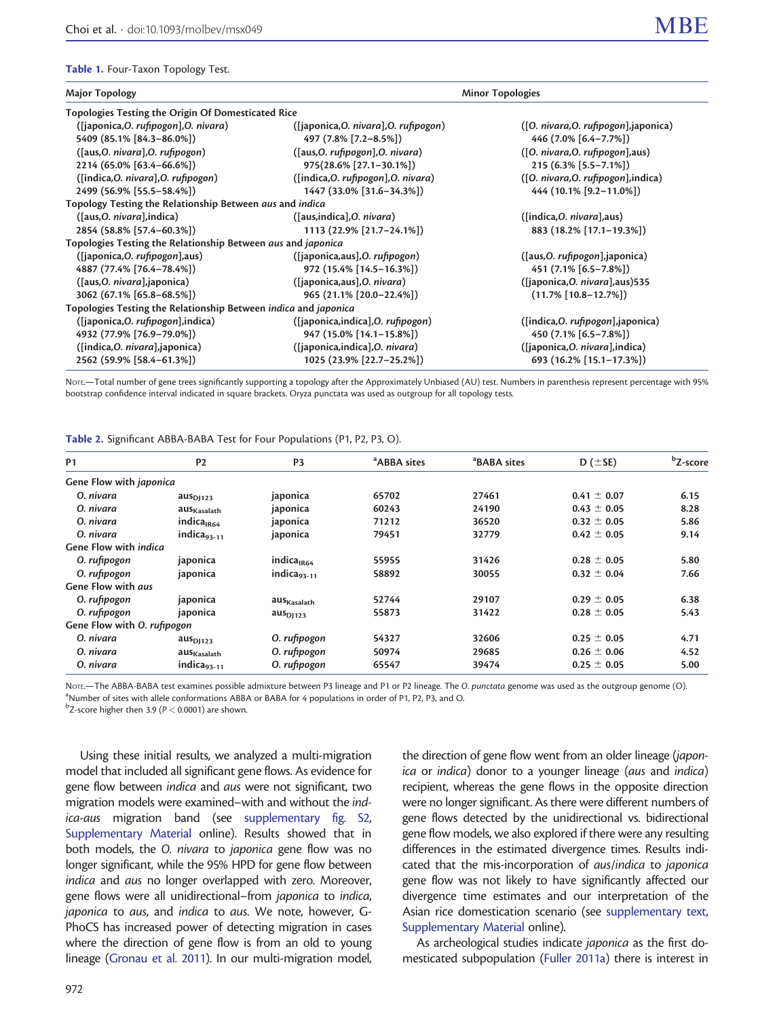#### <span id="page-3-0"></span>Table 1. Four-Taxon Topology Test.

2562 (59.9% [58.4–61.3%])

| Major Topology                                                  | <b>Minor Topologies</b>               |                                       |  |  |  |  |  |
|-----------------------------------------------------------------|---------------------------------------|---------------------------------------|--|--|--|--|--|
| Topologies Testing the Origin Of Domesticated Rice              |                                       |                                       |  |  |  |  |  |
| ([japonica, O. rufipogon], O. nivara)                           | ([japonica, O. nivara], O. rufipogon) | ([O. nivara, O. rufipogon], japonica) |  |  |  |  |  |
| 5409 (85.1% [84.3-86.0%])                                       | 497 (7.8% [7.2-8.5%])                 | 446 (7.0% [6.4-7.7%])                 |  |  |  |  |  |
| ([aus, O. nivara], O. rufipogon)                                | ([aus, O. rufipogon], O. nivara)      | ([O. nivara, O. rufipogon], aus)      |  |  |  |  |  |
| 2214 (65.0% [63.4-66.6%])                                       | 975(28.6% [27.1-30.1%])               | 215 (6.3% [5.5-7.1%])                 |  |  |  |  |  |
| ([indica, O. nivara], O. rufipogon)                             | ([indica, O. rufipogon], O. nivara)   | ([O. nivara, O. rufipogon], indica)   |  |  |  |  |  |
| 2499 (56.9% [55.5-58.4%])                                       | 1447 (33.0% [31.6-34.3%])             | 444 (10.1% [9.2-11.0%])               |  |  |  |  |  |
| Topology Testing the Relationship Between aus and indica        |                                       |                                       |  |  |  |  |  |
| ([aus, O. nivara], indica)                                      | ([aus,indica], O. nivara)             | ([indica, O. nivara], aus)            |  |  |  |  |  |
| 2854 (58.8% [57.4-60.3%])                                       | 1113 (22.9% [21.7-24.1%])             | 883 (18.2% [17.1-19.3%])              |  |  |  |  |  |
| Topologies Testing the Relationship Between aus and japonica    |                                       |                                       |  |  |  |  |  |
| ([japonica, O. rufipogon], aus)                                 | ([japonica,aus], O. rufipogon)        | ([aus,O. rufipogon],japonica)         |  |  |  |  |  |
| 4887 (77.4% [76.4-78.4%])                                       | 972 (15.4% [14.5-16.3%])              | 451 (7.1% [6.5-7.8%])                 |  |  |  |  |  |
| ([aus, O. nivara], japonica)                                    | ([japonica,aus],O. nivara)            | ([japonica, O. nivara], aus) 535      |  |  |  |  |  |
| 3062 (67.1% [65.8-68.5%])                                       | 965 (21.1% [20.0-22.4%])              | $(11.7\%$ [10.8-12.7%])               |  |  |  |  |  |
| Topologies Testing the Relationship Between indica and japonica |                                       |                                       |  |  |  |  |  |
| ([japonica, O. rufipogon], indica)                              | ([japonica,indica], O. rufipogon)     | ([indica, O. rufipogon], japonica)    |  |  |  |  |  |
| 4932 (77.9% [76.9-79.0%])                                       | 947 (15.0% [14.1-15.8%])              | 450 (7.1% [6.5-7.8%])                 |  |  |  |  |  |
| ([indica,0. nivara],japonica)                                   | ([japonica,indica],O. nivara)         | ([japonica, O. nivara], indica)       |  |  |  |  |  |

NOTE.—Total number of gene trees significantly supporting a topology after the Approximately Unbiased (AU) test. Numbers in parenthesis represent percentage with 95% bootstrap confidence interval indicated in square brackets. Oryza punctata was used as outgroup for all topology tests.

1025 (23.9% [22.7–25.2%])

Table 2. Significant ABBA-BABA Test for Four Populations (P1, P2, P3, O).

| <b>P1</b>                      | P <sub>2</sub>              | P <sub>3</sub>          | <sup>a</sup> ABBA sites | <sup>a</sup> BABA sites | D ( $\pm$ SE)   | <sup>b</sup> Z-score |
|--------------------------------|-----------------------------|-------------------------|-------------------------|-------------------------|-----------------|----------------------|
| Gene Flow with <i>japonica</i> |                             |                         |                         |                         |                 |                      |
| O. nivara                      | aug <sub>D1123</sub>        | japonica                | 65702                   | 27461                   | $0.41 \pm 0.07$ | 6.15                 |
| O. nivara                      | aus <sub>Kasalath</sub>     | japonica                | 60243                   | 24190                   | $0.43 \pm 0.05$ | 8.28                 |
| O. nivara                      | indica <sub>IR64</sub>      | japonica                | 71212                   | 36520                   | $0.32 \pm 0.05$ | 5.86                 |
| O. nivara                      | indica <sub>93-11</sub>     | japonica                | 79451                   | 32779                   | $0.42 \pm 0.05$ | 9.14                 |
| <b>Gene Flow with indica</b>   |                             |                         |                         |                         |                 |                      |
| O. rufipogon                   | japonica                    | indica <sub>IR64</sub>  | 55955                   | 31426                   | $0.28 \pm 0.05$ | 5.80                 |
| O. rufipogon                   | japonica                    | indica <sub>93-11</sub> | 58892                   | 30055                   | $0.32 \pm 0.04$ | 7.66                 |
| <b>Gene Flow with aus</b>      |                             |                         |                         |                         |                 |                      |
| O. rufipogon                   | japonica                    | aus <sub>Kasalath</sub> | 52744                   | 29107                   | $0.29 \pm 0.05$ | 6.38                 |
| O. rufipogon                   | japonica                    | aug <sub>D1123</sub>    | 55873                   | 31422                   | $0.28 \pm 0.05$ | 5.43                 |
| Gene Flow with O. rufipogon    |                             |                         |                         |                         |                 |                      |
| O. nivara                      | $\text{aus}_{\text{D}1123}$ | O. rufipogon            | 54327                   | 32606                   | $0.25 \pm 0.05$ | 4.71                 |
| O. nivara                      | aus <sub>Kasalath</sub>     | O. rufipogon            | 50974                   | 29685                   | $0.26 \pm 0.06$ | 4.52                 |
| O. nivara                      | indica <sub>93-11</sub>     | O. rufipogon            | 65547                   | 39474                   | $0.25 \pm 0.05$ | 5.00                 |

NOTE.—The ABBA-BABA test examines possible admixture between P3 lineage and P1 or P2 lineage. The O. punctata genome was used as the outgroup genome (O). <sup>a</sup>Number of sites with allele conformations ABBA or BABA for 4 populations in order of P1, P2, P3, and O.

 $^{\rm b}$ Z-score higher then 3.9 (P  $<$  0.0001) are shown.

Using these initial results, we analyzed a multi-migration model that included all significant gene flows. As evidence for gene flow between indica and aus were not significant, two migration models were examined–with and without the indica-aus migration band (see [supplementary fig. S2,](http://mbe.oxfordjournals.org/lookup/suppl/doi:10.1093/molbev/msx049/-/DC1) [Supplementary Material](http://mbe.oxfordjournals.org/lookup/suppl/doi:10.1093/molbev/msx049/-/DC1) online). Results showed that in both models, the O. nivara to japonica gene flow was no longer significant, while the 95% HPD for gene flow between indica and aus no longer overlapped with zero. Moreover, gene flows were all unidirectional–from japonica to indica, japonica to aus, and indica to aus. We note, however, G-PhoCS has increased power of detecting migration in cases where the direction of gene flow is from an old to young lineage [\(Gronau et al. 2011\)](#page-9-0). In our multi-migration model,

the direction of gene flow went from an older lineage (japonica or indica) donor to a younger lineage (aus and indica) recipient, whereas the gene flows in the opposite direction were no longer significant. As there were different numbers of gene flows detected by the unidirectional vs. bidirectional gene flow models, we also explored if there were any resulting differences in the estimated divergence times. Results indicated that the mis-incorporation of aus/indica to japonica gene flow was not likely to have significantly affected our divergence time estimates and our interpretation of the Asian rice domestication scenario (see [supplementary text,](http://mbe.oxfordjournals.org/lookup/suppl/doi:10.1093/molbev/msx049/-/DC1) [Supplementary Material](http://mbe.oxfordjournals.org/lookup/suppl/doi:10.1093/molbev/msx049/-/DC1) online).

693 (16.2% [15.1–17.3%])

As archeological studies indicate japonica as the first domesticated subpopulation [\(Fuller 2011a](#page-9-0)) there is interest in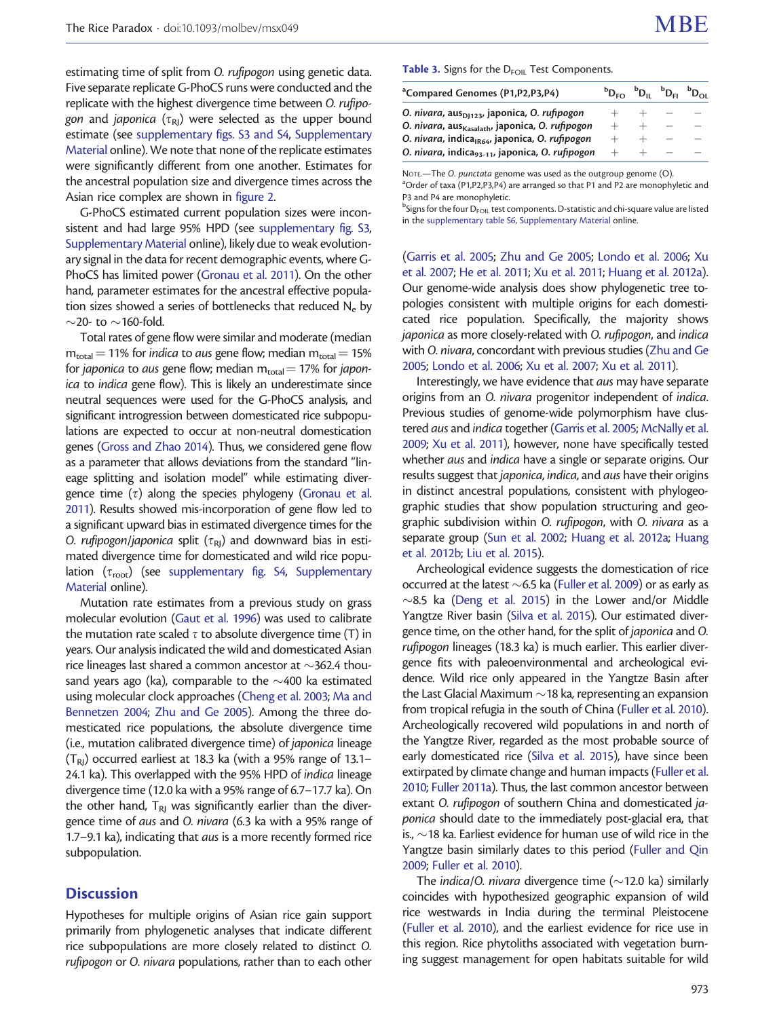<span id="page-4-0"></span>estimating time of split from O. rufipogon using genetic data. Five separate replicate G-PhoCS runs were conducted and the replicate with the highest divergence time between O. rufipogon and japonica ( $\tau_{\text{RI}}$ ) were selected as the upper bound estimate (see [supplementary figs. S3 and S4,](http://mbe.oxfordjournals.org/lookup/suppl/doi:10.1093/molbev/msx049/-/DC1) [Supplementary](http://mbe.oxfordjournals.org/lookup/suppl/doi:10.1093/molbev/msx049/-/DC1) [Material](http://mbe.oxfordjournals.org/lookup/suppl/doi:10.1093/molbev/msx049/-/DC1) online). We note that none of the replicate estimates were significantly different from one another. Estimates for the ancestral population size and divergence times across the Asian rice complex are shown in [figure 2](#page-5-0).

G-PhoCS estimated current population sizes were inconsistent and had large 95% HPD (see [supplementary fig. S3,](http://mbe.oxfordjournals.org/lookup/suppl/doi:10.1093/molbev/msx049/-/DC1) [Supplementary Material](http://mbe.oxfordjournals.org/lookup/suppl/doi:10.1093/molbev/msx049/-/DC1) online), likely due to weak evolutionary signal in the data for recent demographic events, where G-PhoCS has limited power ([Gronau et al. 2011](#page-9-0)). On the other hand, parameter estimates for the ancestral effective population sizes showed a series of bottlenecks that reduced  $N_e$  by  $\sim$ 20- to  $\sim$ 160-fold.

Total rates of gene flow were similar and moderate (median  $m_{\text{total}} = 11\%$  for indica to aus gene flow; median  $m_{\text{total}} = 15\%$ for japonica to aus gene flow; median  $m_{total} = 17\%$  for japonica to indica gene flow). This is likely an underestimate since neutral sequences were used for the G-PhoCS analysis, and significant introgression between domesticated rice subpopulations are expected to occur at non-neutral domestication genes ([Gross and Zhao 2014\)](#page-9-0). Thus, we considered gene flow as a parameter that allows deviations from the standard "lineage splitting and isolation model" while estimating divergence time  $(\tau)$  along the species phylogeny ([Gronau et al.](#page-9-0) [2011\)](#page-9-0). Results showed mis-incorporation of gene flow led to a significant upward bias in estimated divergence times for the O. rufipogon/japonica split ( $\tau_{\text{RI}}$ ) and downward bias in estimated divergence time for domesticated and wild rice population  $(\tau_{\text{root}})$  (see [supplementary fig. S4](http://mbe.oxfordjournals.org/lookup/suppl/doi:10.1093/molbev/msx049/-/DC1), [Supplementary](http://mbe.oxfordjournals.org/lookup/suppl/doi:10.1093/molbev/msx049/-/DC1) [Material](http://mbe.oxfordjournals.org/lookup/suppl/doi:10.1093/molbev/msx049/-/DC1) online).

Mutation rate estimates from a previous study on grass molecular evolution ([Gaut et al. 1996\)](#page-9-0) was used to calibrate the mutation rate scaled  $\tau$  to absolute divergence time (T) in years. Our analysis indicated the wild and domesticated Asian rice lineages last shared a common ancestor at  $\sim$ 362.4 thousand years ago (ka), comparable to the  ${\sim}400$  ka estimated using molecular clock approaches [\(Cheng et al. 2003;](#page-8-0) [Ma and](#page-9-0) [Bennetzen 2004;](#page-9-0) [Zhu and Ge 2005](#page-10-0)). Among the three domesticated rice populations, the absolute divergence time (i.e., mutation calibrated divergence time) of japonica lineage  $(T_{\rm RI})$  occurred earliest at 18.3 ka (with a 95% range of 13.1– 24.1 ka). This overlapped with the 95% HPD of indica lineage divergence time (12.0 ka with a 95% range of 6.7–17.7 ka). On the other hand,  $T_{RI}$  was significantly earlier than the divergence time of aus and O. nivara (6.3 ka with a 95% range of 1.7–9.1 ka), indicating that aus is a more recently formed rice subpopulation.

# **Discussion**

Hypotheses for multiple origins of Asian rice gain support primarily from phylogenetic analyses that indicate different rice subpopulations are more closely related to distinct O. rufipogon or O. nivara populations, rather than to each other

#### Table 3. Signs for the D<sub>FOIL</sub> Test Components.

| <sup>a</sup> Compared Genomes (P1,P2,P3,P4)                 | $D_{\rm BO}$ $D_{\rm II}$ $D_{\rm II}$ $D_{\rm II}$ $D_{\rm OII}$ |  |  |
|-------------------------------------------------------------|-------------------------------------------------------------------|--|--|
| O. nivara, aus <sub>D1123</sub> , japonica, O. rufipogon    |                                                                   |  |  |
| O. nivara, aus <sub>Kasalath</sub> , japonica, O. rufipogon |                                                                   |  |  |
| O. nivara, indica <sub>lR64</sub> , japonica, O. rufipogon  |                                                                   |  |  |
| O. nivara, indica <sub>93-11</sub> , japonica, O. rufipogon |                                                                   |  |  |

NOTE.—The O. punctata genome was used as the outgroup genome (O).

<sup>a</sup>Order of taxa (P1,P2,P3,P4) are arranged so that P1 and P2 are monophyletic and P3 and P4 are monophyletic.

 $^{\rm b}$ Signs for the four  ${\rm D_{FOL}}$  test components. D-statistic and chi-square value are listed in the [supplementary table S6](http://mbe.oxfordjournals.org/lookup/suppl/doi:10.1093/molbev/msx049/-/DC1), [Supplementary Material](http://mbe.oxfordjournals.org/lookup/suppl/doi:10.1093/molbev/msx049/-/DC1) online.

[\(Garris et al. 2005](#page-9-0); [Zhu and Ge 2005](#page-10-0); [Londo et al. 2006](#page-9-0); [Xu](#page-10-0) [et al. 2007;](#page-10-0) [He et al. 2011;](#page-9-0) [Xu et al. 2011](#page-10-0); [Huang et al. 2012a\)](#page-9-0). Our genome-wide analysis does show phylogenetic tree topologies consistent with multiple origins for each domesticated rice population. Specifically, the majority shows japonica as more closely-related with O. rufipogon, and indica with O. nivara, concordant with previous studies [\(Zhu and Ge](#page-10-0) [2005;](#page-10-0) [Londo et al. 2006;](#page-9-0) [Xu et al. 2007](#page-10-0); [Xu et al. 2011](#page-10-0)).

Interestingly, we have evidence that aus may have separate origins from an O. nivara progenitor independent of indica. Previous studies of genome-wide polymorphism have clustered aus and indica together [\(Garris et al. 2005;](#page-9-0) [McNally et al.](#page-9-0) [2009;](#page-9-0) [Xu et al. 2011\)](#page-10-0), however, none have specifically tested whether aus and indica have a single or separate origins. Our results suggest that japonica, indica, and aus have their origins in distinct ancestral populations, consistent with phylogeographic studies that show population structuring and geographic subdivision within O. rufipogon, with O. nivara as a separate group ([Sun et al. 2002;](#page-10-0) [Huang et al. 2012a;](#page-9-0) [Huang](#page-9-0) [et al. 2012b](#page-9-0); [Liu et al. 2015](#page-9-0)).

Archeological evidence suggests the domestication of rice occurred at the latest  $\sim$  6.5 ka ([Fuller et al. 2009\)](#page-9-0) or as early as  $\sim$ 8.5 ka [\(Deng et al. 2015](#page-9-0)) in the Lower and/or Middle Yangtze River basin ([Silva et al. 2015\)](#page-10-0). Our estimated divergence time, on the other hand, for the split of japonica and O. rufipogon lineages (18.3 ka) is much earlier. This earlier divergence fits with paleoenvironmental and archeological evidence. Wild rice only appeared in the Yangtze Basin after the Last Glacial Maximum  $\sim$  18 ka, representing an expansion from tropical refugia in the south of China [\(Fuller et al. 2010\)](#page-9-0). Archeologically recovered wild populations in and north of the Yangtze River, regarded as the most probable source of early domesticated rice ([Silva et al. 2015\)](#page-10-0), have since been extirpated by climate change and human impacts ([Fuller et al.](#page-9-0) [2010;](#page-9-0) [Fuller 2011a\)](#page-9-0). Thus, the last common ancestor between extant O. rufipogon of southern China and domesticated japonica should date to the immediately post-glacial era, that is.,  $\sim$ 18 ka. Earliest evidence for human use of wild rice in the Yangtze basin similarly dates to this period [\(Fuller and Qin](#page-9-0) [2009;](#page-9-0) [Fuller et al. 2010](#page-9-0)).

The indica/O. nivara divergence time  $(\sim$ 12.0 ka) similarly coincides with hypothesized geographic expansion of wild rice westwards in India during the terminal Pleistocene [\(Fuller et al. 2010](#page-9-0)), and the earliest evidence for rice use in this region. Rice phytoliths associated with vegetation burning suggest management for open habitats suitable for wild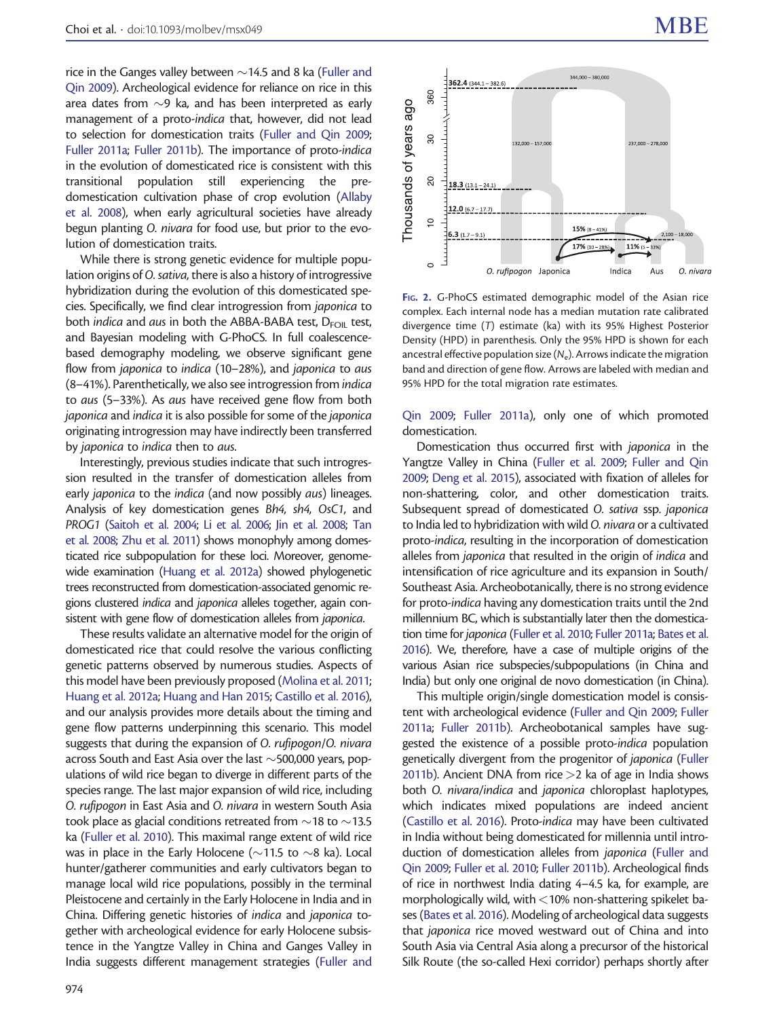<span id="page-5-0"></span>rice in the Ganges valley between  $\sim$ 14.5 and 8 ka [\(Fuller and](#page-9-0) [Qin 2009](#page-9-0)). Archeological evidence for reliance on rice in this area dates from  ${\sim}$ 9 ka, and has been interpreted as early management of a proto-indica that, however, did not lead to selection for domestication traits ([Fuller and Qin 2009;](#page-9-0) [Fuller 2011a;](#page-9-0) [Fuller 2011b](#page-9-0)). The importance of proto-indica in the evolution of domesticated rice is consistent with this transitional population still experiencing the predomestication cultivation phase of crop evolution ([Allaby](#page-8-0) [et al. 2008](#page-8-0)), when early agricultural societies have already begun planting O. nivara for food use, but prior to the evolution of domestication traits.

While there is strong genetic evidence for multiple population origins of O. sativa, there is also a history of introgressive hybridization during the evolution of this domesticated species. Specifically, we find clear introgression from japonica to both *indica* and *aus* in both the ABBA-BABA test,  $D_{FOM}$  test, and Bayesian modeling with G-PhoCS. In full coalescencebased demography modeling, we observe significant gene flow from japonica to indica (10–28%), and japonica to aus (8–41%). Parenthetically, we also see introgression fromindica to aus (5–33%). As aus have received gene flow from both japonica and indica it is also possible for some of the japonica originating introgression may have indirectly been transferred by japonica to indica then to aus.

Interestingly, previous studies indicate that such introgression resulted in the transfer of domestication alleles from early *japonica* to the *indica* (and now possibly *aus*) lineages. Analysis of key domestication genes Bh4, sh4, OsC1, and PROG1 [\(Saitoh et al. 2004](#page-9-0); [Li et al. 2006;](#page-9-0) [Jin et al. 2008;](#page-9-0) [Tan](#page-10-0) [et al. 2008](#page-10-0); [Zhu et al. 2011\)](#page-10-0) shows monophyly among domesticated rice subpopulation for these loci. Moreover, genomewide examination [\(Huang et al. 2012a](#page-9-0)) showed phylogenetic trees reconstructed from domestication-associated genomic regions clustered indica and japonica alleles together, again consistent with gene flow of domestication alleles from japonica.

These results validate an alternative model for the origin of domesticated rice that could resolve the various conflicting genetic patterns observed by numerous studies. Aspects of this model have been previously proposed ([Molina et al. 2011;](#page-9-0) [Huang et al. 2012a](#page-9-0); [Huang and Han 2015](#page-9-0); [Castillo et al. 2016\)](#page-8-0), and our analysis provides more details about the timing and gene flow patterns underpinning this scenario. This model suggests that during the expansion of O. rufipogon/O. nivara across South and East Asia over the last  $\sim$ 500,000 years, populations of wild rice began to diverge in different parts of the species range. The last major expansion of wild rice, including O. rufipogon in East Asia and O. nivara in western South Asia took place as glacial conditions retreated from  $\sim$ 18 to  $\sim$ 13.5 ka [\(Fuller et al. 2010\)](#page-9-0). This maximal range extent of wild rice was in place in the Early Holocene ( $\sim$ 11.5 to  $\sim$ 8 ka). Local hunter/gatherer communities and early cultivators began to manage local wild rice populations, possibly in the terminal Pleistocene and certainly in the Early Holocene in India and in China. Differing genetic histories of indica and japonica together with archeological evidence for early Holocene subsistence in the Yangtze Valley in China and Ganges Valley in India suggests different management strategies ([Fuller and](#page-9-0)



FIG. 2. G-PhoCS estimated demographic model of the Asian rice complex. Each internal node has a median mutation rate calibrated divergence time (T) estimate (ka) with its 95% Highest Posterior Density (HPD) in parenthesis. Only the 95% HPD is shown for each ancestral effective population size  $(N_e)$ . Arrows indicate the migration band and direction of gene flow. Arrows are labeled with median and 95% HPD for the total migration rate estimates.

[Qin 2009](#page-9-0); [Fuller 2011a\)](#page-9-0), only one of which promoted domestication.

Domestication thus occurred first with japonica in the Yangtze Valley in China ([Fuller et al. 2009](#page-9-0); [Fuller and Qin](#page-9-0) [2009;](#page-9-0) [Deng et al. 2015\)](#page-9-0), associated with fixation of alleles for non-shattering, color, and other domestication traits. Subsequent spread of domesticated O. sativa ssp. japonica to India led to hybridization with wild O. nivara or a cultivated proto-indica, resulting in the incorporation of domestication alleles from japonica that resulted in the origin of indica and intensification of rice agriculture and its expansion in South/ Southeast Asia. Archeobotanically, there is no strong evidence for proto-indica having any domestication traits until the 2nd millennium BC, which is substantially later then the domestication time for japonica ([Fuller et al. 2010;](#page-9-0) [Fuller 2011a;](#page-9-0) [Bates et al.](#page-8-0) [2016](#page-8-0)). We, therefore, have a case of multiple origins of the various Asian rice subspecies/subpopulations (in China and India) but only one original de novo domestication (in China).

This multiple origin/single domestication model is consistent with archeological evidence [\(Fuller and Qin 2009;](#page-9-0) [Fuller](#page-9-0) [2011a;](#page-9-0) [Fuller 2011b](#page-9-0)). Archeobotanical samples have suggested the existence of a possible proto-indica population genetically divergent from the progenitor of japonica [\(Fuller](#page-9-0) [2011b\)](#page-9-0). Ancient DNA from rice  $>$ 2 ka of age in India shows both O. nivara/indica and japonica chloroplast haplotypes, which indicates mixed populations are indeed ancient [\(Castillo et al. 2016](#page-8-0)). Proto-indica may have been cultivated in India without being domesticated for millennia until introduction of domestication alleles from japonica [\(Fuller and](#page-9-0) [Qin 2009;](#page-9-0) [Fuller et al. 2010](#page-9-0); [Fuller 2011b\)](#page-9-0). Archeological finds of rice in northwest India dating 4–4.5 ka, for example, are morphologically wild, with  $<$  10% non-shattering spikelet bases ([Bates et al. 2016](#page-8-0)). Modeling of archeological data suggests that japonica rice moved westward out of China and into South Asia via Central Asia along a precursor of the historical Silk Route (the so-called Hexi corridor) perhaps shortly after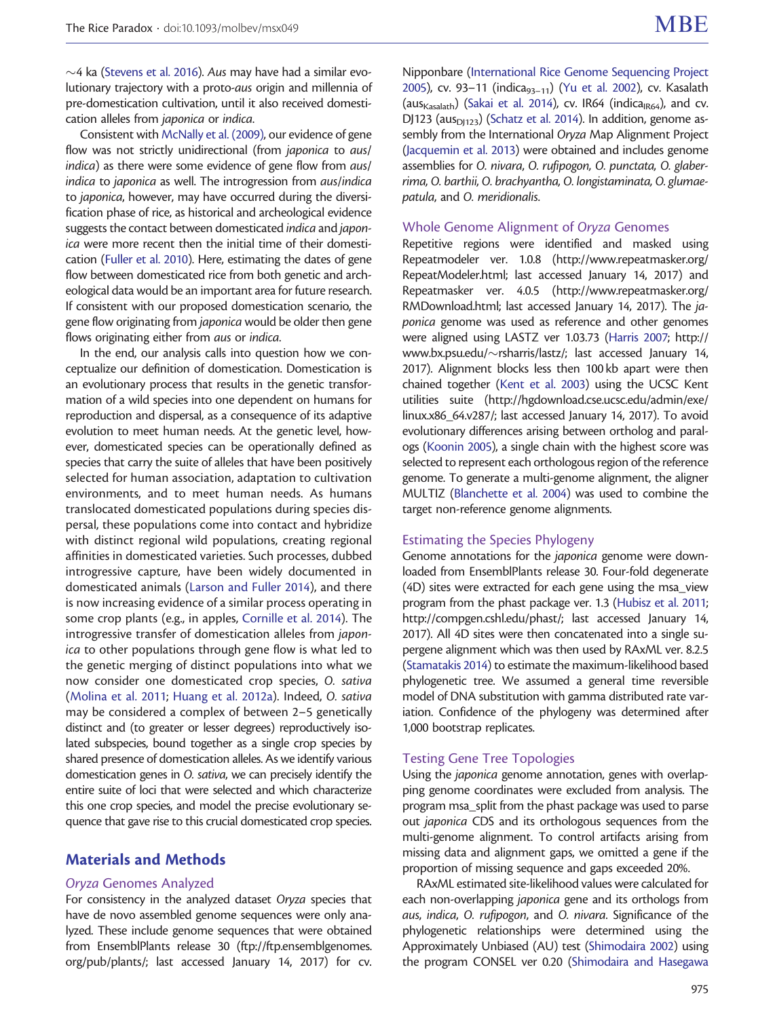$\sim$ 4 ka ([Stevens et al. 2016\)](#page-10-0). A*us* may have had a similar evolutionary trajectory with a proto-aus origin and millennia of pre-domestication cultivation, until it also received domestication alleles from japonica or indica.

Consistent with [McNally et al. \(2009\),](#page-9-0) our evidence of gene flow was not strictly unidirectional (from japonica to aus/ indica) as there were some evidence of gene flow from aus/ indica to japonica as well. The introgression from aus/indica to japonica, however, may have occurred during the diversification phase of rice, as historical and archeological evidence suggests the contact between domesticated indica and japonica were more recent then the initial time of their domestication ([Fuller et al. 2010](#page-9-0)). Here, estimating the dates of gene flow between domesticated rice from both genetic and archeological data would be an important area for future research. If consistent with our proposed domestication scenario, the gene flow originating from japonica would be older then gene flows originating either from aus or indica.

In the end, our analysis calls into question how we conceptualize our definition of domestication. Domestication is an evolutionary process that results in the genetic transformation of a wild species into one dependent on humans for reproduction and dispersal, as a consequence of its adaptive evolution to meet human needs. At the genetic level, however, domesticated species can be operationally defined as species that carry the suite of alleles that have been positively selected for human association, adaptation to cultivation environments, and to meet human needs. As humans translocated domesticated populations during species dispersal, these populations come into contact and hybridize with distinct regional wild populations, creating regional affinities in domesticated varieties. Such processes, dubbed introgressive capture, have been widely documented in domesticated animals ([Larson and Fuller 2014](#page-9-0)), and there is now increasing evidence of a similar process operating in some crop plants (e.g., in apples, [Cornille et al. 2014](#page-8-0)). The introgressive transfer of domestication alleles from japonica to other populations through gene flow is what led to the genetic merging of distinct populations into what we now consider one domesticated crop species, O. sativa ([Molina et al. 2011;](#page-9-0) [Huang et al. 2012a\)](#page-9-0). Indeed, O. sativa may be considered a complex of between 2–5 genetically distinct and (to greater or lesser degrees) reproductively isolated subspecies, bound together as a single crop species by shared presence of domestication alleles. As we identify various domestication genes in O. sativa, we can precisely identify the entire suite of loci that were selected and which characterize this one crop species, and model the precise evolutionary sequence that gave rise to this crucial domesticated crop species.

# Materials and Methods

# Oryza Genomes Analyzed

For consistency in the analyzed dataset Oryza species that have de novo assembled genome sequences were only analyzed. These include genome sequences that were obtained from EnsemblPlants release 30 [\(ftp://ftp.ensemblgenomes.](http://ftp://ftp.ensemblgenomes.org/pub/plants/) [org/pub/plants/](http://ftp://ftp.ensemblgenomes.org/pub/plants/); last accessed January 14, 2017) for cv.

Nipponbare [\(International Rice Genome Sequencing Project](#page-9-0) [2005\)](#page-9-0), cv. 93–11 (indica $_{93-11}$ ) ([Yu et al. 2002](#page-10-0)), cv. Kasalath (aus<sub>Kasalath</sub>) ([Sakai et al. 2014\)](#page-9-0), cv. IR64 (indica<sub>IR64</sub>), and cv. DJ123 (aus $_{D123}$ ) [\(Schatz et al. 2014](#page-9-0)). In addition, genome assembly from the International Oryza Map Alignment Project [\(Jacquemin et al. 2013\)](#page-9-0) were obtained and includes genome assemblies for O. nivara, O. rufipogon, O. punctata, O. glaberrima, O. barthii, O. brachyantha, O. longistaminata, O. glumaepatula, and O. meridionalis.

## Whole Genome Alignment of Oryza Genomes

Repetitive regions were identified and masked using Repeatmodeler ver. 1.0.8 [\(http://www.repeatmasker.org/](http://www.repeatmasker.org/RepeatModeler.html) [RepeatModeler.html;](http://www.repeatmasker.org/RepeatModeler.html) last accessed January 14, 2017) and Repeatmasker ver. 4.0.5 [\(http://www.repeatmasker.org/](http://www.repeatmasker.org/RMDownload.html) [RMDownload.html](http://www.repeatmasker.org/RMDownload.html); last accessed January 14, 2017). The japonica genome was used as reference and other genomes were aligned using LASTZ ver 1.03.73 [\(Harris 2007](#page-9-0); [http://](http://www.bx.psu.edu/∼rsharris/lastz/) [www.bx.psu.edu/](http://www.bx.psu.edu/∼rsharris/lastz/)~[rsharris/lastz/](http://www.bx.psu.edu/∼rsharris/lastz/); last accessed January 14, 2017). Alignment blocks less then 100 kb apart were then chained together [\(Kent et al. 2003\)](#page-9-0) using the UCSC Kent utilities suite [\(http://hgdownload.cse.ucsc.edu/admin/exe/](http://hgdownload.cse.ucsc.edu/admin/exe/linux.x86_64.v287/) [linux.x86\\_64.v287/](http://hgdownload.cse.ucsc.edu/admin/exe/linux.x86_64.v287/); last accessed January 14, 2017). To avoid evolutionary differences arising between ortholog and paralogs [\(Koonin 2005\)](#page-9-0), a single chain with the highest score was selected to represent each orthologous region of the reference genome. To generate a multi-genome alignment, the aligner MULTIZ [\(Blanchette et al. 2004](#page-8-0)) was used to combine the target non-reference genome alignments.

#### Estimating the Species Phylogeny

Genome annotations for the japonica genome were downloaded from EnsemblPlants release 30. Four-fold degenerate (4D) sites were extracted for each gene using the msa\_view program from the phast package ver. 1.3 [\(Hubisz et al. 2011;](#page-9-0) <http://compgen.cshl.edu/phast/>; last accessed January 14, 2017). All 4D sites were then concatenated into a single supergene alignment which was then used by RAxML ver. 8.2.5 [\(Stamatakis 2014\)](#page-10-0) to estimate the maximum-likelihood based phylogenetic tree. We assumed a general time reversible model of DNA substitution with gamma distributed rate variation. Confidence of the phylogeny was determined after 1,000 bootstrap replicates.

#### Testing Gene Tree Topologies

Using the japonica genome annotation, genes with overlapping genome coordinates were excluded from analysis. The program msa\_split from the phast package was used to parse out japonica CDS and its orthologous sequences from the multi-genome alignment. To control artifacts arising from missing data and alignment gaps, we omitted a gene if the proportion of missing sequence and gaps exceeded 20%.

RAxML estimated site-likelihood values were calculated for each non-overlapping japonica gene and its orthologs from aus, indica, O. rufipogon, and O. nivara. Significance of the phylogenetic relationships were determined using the Approximately Unbiased (AU) test ([Shimodaira 2002\)](#page-10-0) using the program CONSEL ver 0.20 ([Shimodaira and Hasegawa](#page-10-0)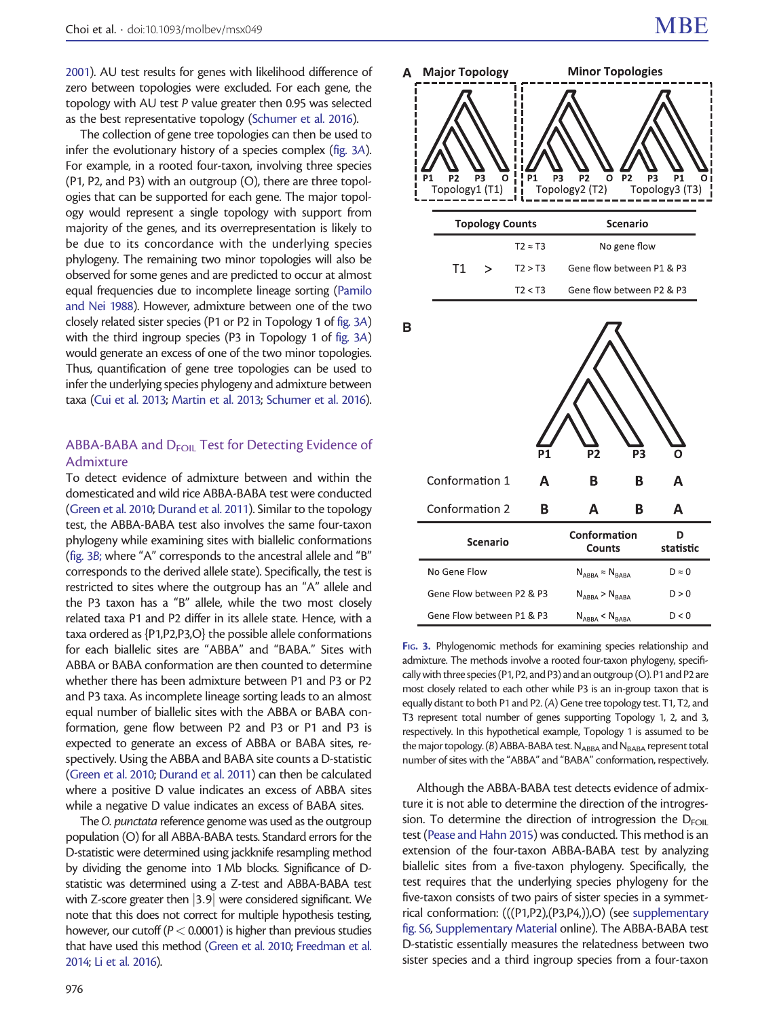[2001\)](#page-10-0). AU test results for genes with likelihood difference of zero between topologies were excluded. For each gene, the topology with AU test P value greater then 0.95 was selected as the best representative topology ([Schumer et al. 2016\)](#page-9-0).

The collection of gene tree topologies can then be used to infer the evolutionary history of a species complex (fig. 3A). For example, in a rooted four-taxon, involving three species (P1, P2, and P3) with an outgroup (O), there are three topologies that can be supported for each gene. The major topology would represent a single topology with support from majority of the genes, and its overrepresentation is likely to be due to its concordance with the underlying species phylogeny. The remaining two minor topologies will also be observed for some genes and are predicted to occur at almost equal frequencies due to incomplete lineage sorting [\(Pamilo](#page-9-0) [and Nei 1988](#page-9-0)). However, admixture between one of the two closely related sister species (P1 or P2 in Topology 1 of fig. 3A) with the third ingroup species (P3 in Topology 1 of fig. 3A) would generate an excess of one of the two minor topologies. Thus, quantification of gene tree topologies can be used to infer the underlying species phylogeny and admixture between taxa [\(Cui et al. 2013](#page-9-0); [Martin et al. 2013](#page-9-0); [Schumer et al. 2016\)](#page-9-0).

# ABBA-BABA and D<sub>FOIL</sub> Test for Detecting Evidence of Admixture

To detect evidence of admixture between and within the domesticated and wild rice ABBA-BABA test were conducted ([Green et al. 2010](#page-9-0); [Durand et al. 2011\)](#page-9-0). Similar to the topology test, the ABBA-BABA test also involves the same four-taxon phylogeny while examining sites with biallelic conformations (fig. 3B; where "A" corresponds to the ancestral allele and "B" corresponds to the derived allele state). Specifically, the test is restricted to sites where the outgroup has an "A" allele and the P3 taxon has a "B" allele, while the two most closely related taxa P1 and P2 differ in its allele state. Hence, with a taxa ordered as {P1,P2,P3,O} the possible allele conformations for each biallelic sites are "ABBA" and "BABA." Sites with ABBA or BABA conformation are then counted to determine whether there has been admixture between P1 and P3 or P2 and P3 taxa. As incomplete lineage sorting leads to an almost equal number of biallelic sites with the ABBA or BABA conformation, gene flow between P2 and P3 or P1 and P3 is expected to generate an excess of ABBA or BABA sites, respectively. Using the ABBA and BABA site counts a D-statistic ([Green et al. 2010](#page-9-0); [Durand et al. 2011](#page-9-0)) can then be calculated where a positive D value indicates an excess of ABBA sites while a negative D value indicates an excess of BABA sites.

The O. punctata reference genome was used as the outgroup population (O) for all ABBA-BABA tests. Standard errors for the D-statistic were determined using jackknife resampling method by dividing the genome into 1 Mb blocks. Significance of Dstatistic was determined using a Z-test and ABBA-BABA test with Z-score greater then  $|3.9|$  were considered significant. We note that this does not correct for multiple hypothesis testing, however, our cutoff ( $P < 0.0001$ ) is higher than previous studies that have used this method [\(Green et al. 2010;](#page-9-0) [Freedman et al.](#page-9-0) [2014](#page-9-0); [Li et al. 2016\)](#page-9-0).





FIG. 3. Phylogenomic methods for examining species relationship and admixture. The methods involve a rooted four-taxon phylogeny, specifically with three species (P1, P2, and P3) and an outgroup (O). P1 and P2 are most closely related to each other while P3 is an in-group taxon that is equally distant to both P1 and P2. (A) Gene tree topology test. T1, T2, and T3 represent total number of genes supporting Topology 1, 2, and 3, respectively. In this hypothetical example, Topology 1 is assumed to be the major topology. (B) ABBA-BABA test. NABBA and NBABA represent total number of sites with the "ABBA" and "BABA" conformation, respectively.

Although the ABBA-BABA test detects evidence of admixture it is not able to determine the direction of the introgression. To determine the direction of introgression the  $D_{FOM}$ test ([Pease and Hahn 2015\)](#page-9-0) was conducted. This method is an extension of the four-taxon ABBA-BABA test by analyzing biallelic sites from a five-taxon phylogeny. Specifically, the test requires that the underlying species phylogeny for the five-taxon consists of two pairs of sister species in a symmetrical conformation: (((P1,P2),(P3,P4,)),O) (see [supplementary](http://mbe.oxfordjournals.org/lookup/suppl/doi:10.1093/molbev/msx049/-/DC1) [fig. S6,](http://mbe.oxfordjournals.org/lookup/suppl/doi:10.1093/molbev/msx049/-/DC1) [Supplementary Material](http://mbe.oxfordjournals.org/lookup/suppl/doi:10.1093/molbev/msx049/-/DC1) online). The ABBA-BABA test D-statistic essentially measures the relatedness between two sister species and a third ingroup species from a four-taxon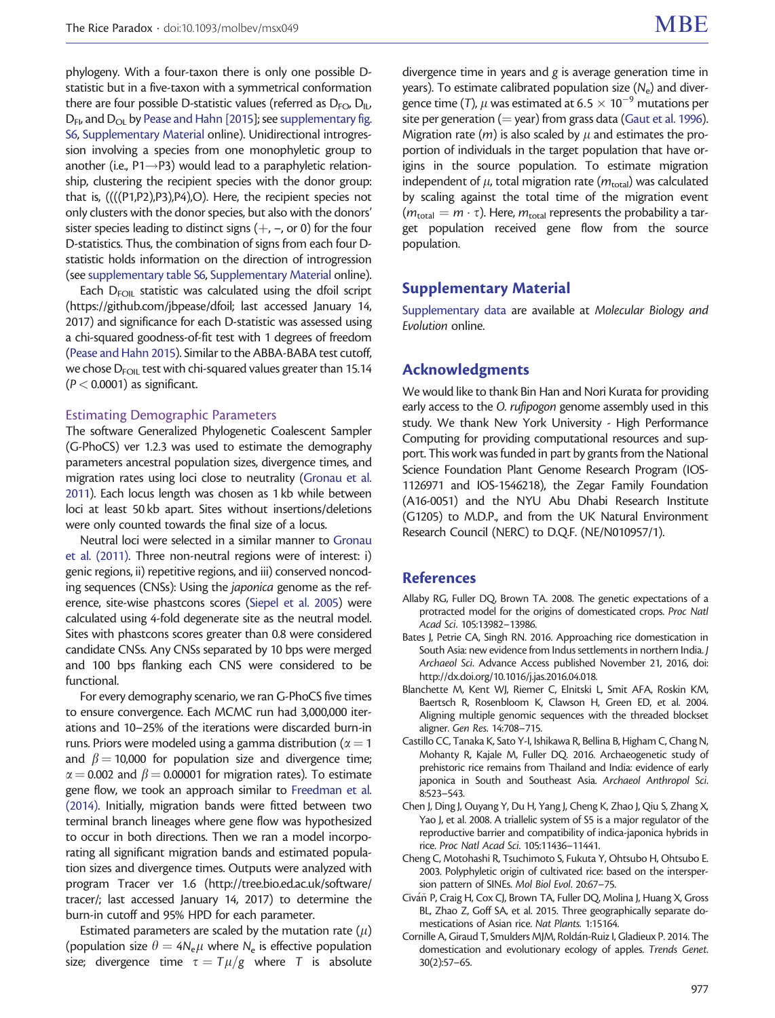<span id="page-8-0"></span>phylogeny. With a four-taxon there is only one possible Dstatistic but in a five-taxon with a symmetrical conformation there are four possible D-statistic values (referred as  $D_{FQ}$ ,  $D_{II}$ ,  $D_{F1}$ , and  $D_{O1}$  by [Pease and Hahn \[2015\]](#page-9-0); see [supplementary fig.](http://mbe.oxfordjournals.org/lookup/suppl/doi:10.1093/molbev/msx049/-/DC1) [S6](http://mbe.oxfordjournals.org/lookup/suppl/doi:10.1093/molbev/msx049/-/DC1), [Supplementary Material](http://mbe.oxfordjournals.org/lookup/suppl/doi:10.1093/molbev/msx049/-/DC1) online). Unidirectional introgression involving a species from one monophyletic group to another (i.e.,  $P1 \rightarrow P3$ ) would lead to a paraphyletic relationship, clustering the recipient species with the donor group: that is, ((((P1,P2),P3),P4),O). Here, the recipient species not only clusters with the donor species, but also with the donors' sister species leading to distinct signs  $(+, -$ , or 0) for the four D-statistics. Thus, the combination of signs from each four Dstatistic holds information on the direction of introgression (see [supplementary table S6,](http://mbe.oxfordjournals.org/lookup/suppl/doi:10.1093/molbev/msx049/-/DC1) [Supplementary Material](http://mbe.oxfordjournals.org/lookup/suppl/doi:10.1093/molbev/msx049/-/DC1) online).

Each  $D_{FOM}$  statistic was calculated using the dfoil script (<https://github.com/jbpease/dfoil>; last accessed January 14, 2017) and significance for each D-statistic was assessed using a chi-squared goodness-of-fit test with 1 degrees of freedom ([Pease and Hahn 2015\)](#page-9-0). Similar to the ABBA-BABA test cutoff, we chose  $D_{FOM}$  test with chi-squared values greater than 15.14  $(P < 0.0001)$  as significant.

#### Estimating Demographic Parameters

The software Generalized Phylogenetic Coalescent Sampler (G-PhoCS) ver 1.2.3 was used to estimate the demography parameters ancestral population sizes, divergence times, and migration rates using loci close to neutrality [\(Gronau et al.](#page-9-0) [2011\)](#page-9-0). Each locus length was chosen as 1 kb while between loci at least 50 kb apart. Sites without insertions/deletions were only counted towards the final size of a locus.

Neutral loci were selected in a similar manner to [Gronau](#page-9-0) [et al. \(2011\).](#page-9-0) Three non-neutral regions were of interest: i) genic regions, ii) repetitive regions, and iii) conserved noncoding sequences (CNSs): Using the japonica genome as the reference, site-wise phastcons scores [\(Siepel et al. 2005\)](#page-10-0) were calculated using 4-fold degenerate site as the neutral model. Sites with phastcons scores greater than 0.8 were considered candidate CNSs. Any CNSs separated by 10 bps were merged and 100 bps flanking each CNS were considered to be functional.

For every demography scenario, we ran G-PhoCS five times to ensure convergence. Each MCMC run had 3,000,000 iterations and 10–25% of the iterations were discarded burn-in runs. Priors were modeled using a gamma distribution ( $\alpha = 1$ and  $\beta$  = 10,000 for population size and divergence time;  $\alpha$  = 0.002 and  $\beta$  = 0.00001 for migration rates). To estimate gene flow, we took an approach similar to [Freedman et al.](#page-9-0) [\(2014\)](#page-9-0). Initially, migration bands were fitted between two terminal branch lineages where gene flow was hypothesized to occur in both directions. Then we ran a model incorporating all significant migration bands and estimated population sizes and divergence times. Outputs were analyzed with program Tracer ver 1.6 [\(http://tree.bio.ed.ac.uk/software/](http://tree.bio.ed.ac.uk/software/tracer/) [tracer/](http://tree.bio.ed.ac.uk/software/tracer/); last accessed January 14, 2017) to determine the burn-in cutoff and 95% HPD for each parameter.

Estimated parameters are scaled by the mutation rate  $(\mu)$ (population size  $\theta = 4N_e\mu$  where N<sub>e</sub> is effective population size; divergence time  $\tau = T\mu/g$  where T is absolute

divergence time in years and g is average generation time in years). To estimate calibrated population size  $(N_e)$  and divergence time (T),  $\mu$  was estimated at 6.5  $\times$  10<sup>-9</sup> mutations per site per generation ( $=$  year) from grass data [\(Gaut et al. 1996\)](#page-9-0). Migration rate (*m*) is also scaled by  $\mu$  and estimates the proportion of individuals in the target population that have origins in the source population. To estimate migration independent of  $\mu$ , total migration rate ( $m_{\text{total}}$ ) was calculated by scaling against the total time of the migration event  $(m_{\text{total}} = m \cdot \tau)$ . Here,  $m_{\text{total}}$  represents the probability a target population received gene flow from the source population.

#### Supplementary Material

[Supplementary data](http://mbe.oxfordjournals.org/lookup/suppl/doi:10.1093/molbev/msx049/-/DC1) are available at Molecular Biology and Evolution online.

# Acknowledgments

We would like to thank Bin Han and Nori Kurata for providing early access to the O. rufipogon genome assembly used in this study. We thank New York University - High Performance Computing for providing computational resources and support. This work was funded in part by grants from the National Science Foundation Plant Genome Research Program (IOS-1126971 and IOS-1546218), the Zegar Family Foundation (A16-0051) and the NYU Abu Dhabi Research Institute (G1205) to M.D.P., and from the UK Natural Environment Research Council (NERC) to D.Q.F. (NE/N010957/1).

## References

- Allaby RG, Fuller DQ, Brown TA. 2008. The genetic expectations of a protracted model for the origins of domesticated crops. Proc Natl Acad Sci. 105:13982–13986.
- Bates J, Petrie CA, Singh RN. 2016. Approaching rice domestication in South Asia: new evidence from Indus settlements in northern India. J Archaeol Sci. Advance Access published November 21, 2016, doi: [http://dx.doi.org/10.1016/j.jas.2016.04.018.](http://dx.doi.org/10.1016/j.jas.2016.04.018)
- Blanchette M, Kent WJ, Riemer C, Elnitski L, Smit AFA, Roskin KM, Baertsch R, Rosenbloom K, Clawson H, Green ED, et al. 2004. Aligning multiple genomic sequences with the threaded blockset aligner. Gen Res. 14:708–715.
- Castillo CC, Tanaka K, Sato Y-I, Ishikawa R, Bellina B, Higham C, Chang N, Mohanty R, Kajale M, Fuller DQ. 2016. Archaeogenetic study of prehistoric rice remains from Thailand and India: evidence of early japonica in South and Southeast Asia. Archaeol Anthropol Sci. 8:523–543.
- Chen J, Ding J, Ouyang Y, Du H, Yang J, Cheng K, Zhao J, Qiu S, Zhang X, Yao J, et al. 2008. A triallelic system of S5 is a major regulator of the reproductive barrier and compatibility of indica-japonica hybrids in rice. Proc Natl Acad Sci. 105:11436–11441.
- Cheng C, Motohashi R, Tsuchimoto S, Fukuta Y, Ohtsubo H, Ohtsubo E. 2003. Polyphyletic origin of cultivated rice: based on the interspersion pattern of SINEs. Mol Biol Evol. 20:67–75.
- Civáň P, Craig H, Cox CJ, Brown TA, Fuller DQ, Molina J, Huang X, Gross BL, Zhao Z, Goff SA, et al. 2015. Three geographically separate domestications of Asian rice. Nat Plants. 1:15164.
- Cornille A, Giraud T, Smulders MJM, Roldán-Ruiz I, Gladieux P. 2014. The domestication and evolutionary ecology of apples. Trends Genet. 30(2):57–65.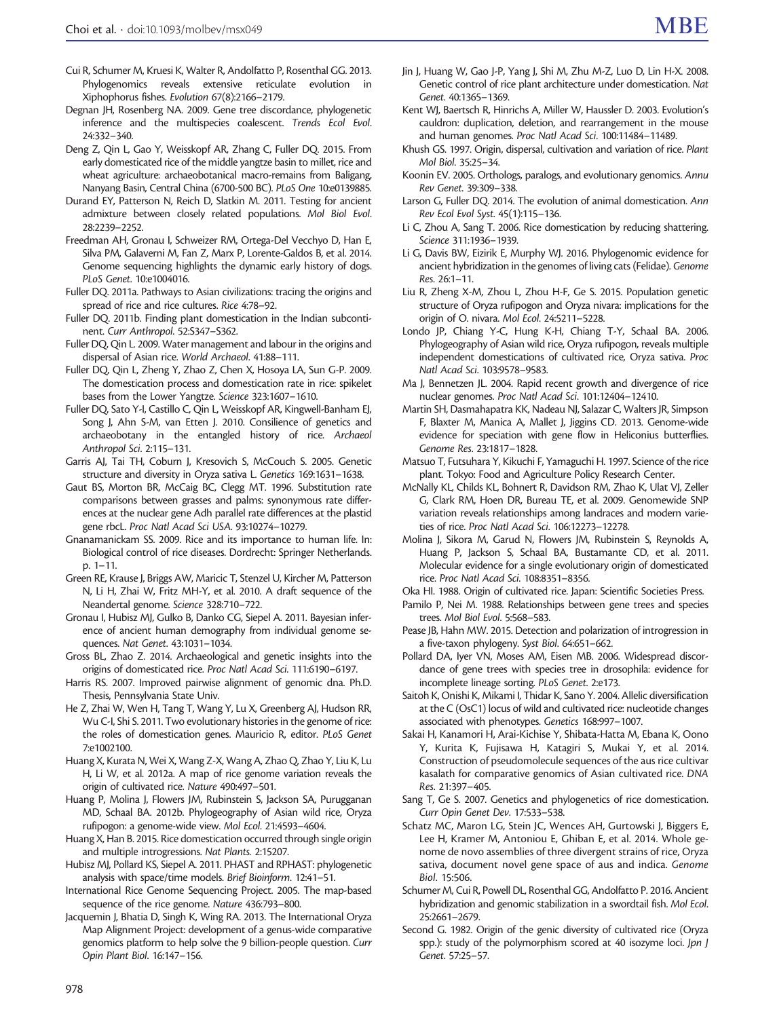- <span id="page-9-0"></span>Cui R, Schumer M, Kruesi K, Walter R, Andolfatto P, Rosenthal GG. 2013. Phylogenomics reveals extensive reticulate evolution in Xiphophorus fishes. Evolution 67(8):2166–2179.
- Degnan JH, Rosenberg NA. 2009. Gene tree discordance, phylogenetic inference and the multispecies coalescent. Trends Ecol Evol. 24:332–340.
- Deng Z, Qin L, Gao Y, Weisskopf AR, Zhang C, Fuller DQ. 2015. From early domesticated rice of the middle yangtze basin to millet, rice and wheat agriculture: archaeobotanical macro-remains from Baligang, Nanyang Basin, Central China (6700-500 BC). PLoS One 10:e0139885.
- Durand EY, Patterson N, Reich D, Slatkin M. 2011. Testing for ancient admixture between closely related populations. Mol Biol Evol. 28:2239–2252.
- Freedman AH, Gronau I, Schweizer RM, Ortega-Del Vecchyo D, Han E, Silva PM, Galaverni M, Fan Z, Marx P, Lorente-Galdos B, et al. 2014. Genome sequencing highlights the dynamic early history of dogs. PLoS Genet. 10:e1004016.
- Fuller DQ. 2011a. Pathways to Asian civilizations: tracing the origins and spread of rice and rice cultures. Rice 4:78–92.
- Fuller DQ. 2011b. Finding plant domestication in the Indian subcontinent. Curr Anthropol. 52:S347–S362.
- Fuller DQ, Qin L. 2009. Water management and labour in the origins and dispersal of Asian rice. World Archaeol. 41:88–111.
- Fuller DQ, Qin L, Zheng Y, Zhao Z, Chen X, Hosoya LA, Sun G-P. 2009. The domestication process and domestication rate in rice: spikelet bases from the Lower Yangtze. Science 323:1607–1610.
- Fuller DQ, Sato Y-I, Castillo C, Qin L, Weisskopf AR, Kingwell-Banham EJ, Song J, Ahn S-M, van Etten J. 2010. Consilience of genetics and archaeobotany in the entangled history of rice. Archaeol Anthropol Sci. 2:115–131.
- Garris AJ, Tai TH, Coburn J, Kresovich S, McCouch S. 2005. Genetic structure and diversity in Oryza sativa L. Genetics 169:1631–1638.
- Gaut BS, Morton BR, McCaig BC, Clegg MT. 1996. Substitution rate comparisons between grasses and palms: synonymous rate differences at the nuclear gene Adh parallel rate differences at the plastid gene rbcL. Proc Natl Acad Sci USA. 93:10274–10279.
- Gnanamanickam SS. 2009. Rice and its importance to human life. In: Biological control of rice diseases. Dordrecht: Springer Netherlands. p. 1–11.
- Green RE, Krause J, Briggs AW, Maricic T, Stenzel U, Kircher M, Patterson N, Li H, Zhai W, Fritz MH-Y, et al. 2010. A draft sequence of the Neandertal genome. Science 328:710–722.
- Gronau I, Hubisz MJ, Gulko B, Danko CG, Siepel A. 2011. Bayesian inference of ancient human demography from individual genome sequences. Nat Genet. 43:1031–1034.
- Gross BL, Zhao Z. 2014. Archaeological and genetic insights into the origins of domesticated rice. Proc Natl Acad Sci. 111:6190–6197.
- Harris RS. 2007. Improved pairwise alignment of genomic dna. Ph.D. Thesis, Pennsylvania State Univ.
- He Z, Zhai W, Wen H, Tang T, Wang Y, Lu X, Greenberg AJ, Hudson RR, Wu C-I, Shi S. 2011. Two evolutionary histories in the genome of rice: the roles of domestication genes. Mauricio R, editor. PLoS Genet 7:e1002100.
- Huang X, Kurata N, Wei X, Wang Z-X, Wang A, Zhao Q, Zhao Y, Liu K, Lu H, Li W, et al. 2012a. A map of rice genome variation reveals the origin of cultivated rice. Nature 490:497–501.
- Huang P, Molina J, Flowers JM, Rubinstein S, Jackson SA, Purugganan MD, Schaal BA. 2012b. Phylogeography of Asian wild rice, Oryza rufipogon: a genome-wide view. Mol Ecol. 21:4593–4604.
- Huang X, Han B. 2015. Rice domestication occurred through single origin and multiple introgressions. Nat Plants. 2:15207.
- Hubisz MJ, Pollard KS, Siepel A. 2011. PHAST and RPHAST: phylogenetic analysis with space/time models. Brief Bioinform. 12:41–51.
- International Rice Genome Sequencing Project. 2005. The map-based sequence of the rice genome. Nature 436:793–800.
- Jacquemin J, Bhatia D, Singh K, Wing RA. 2013. The International Oryza Map Alignment Project: development of a genus-wide comparative genomics platform to help solve the 9 billion-people question. Curr Opin Plant Biol. 16:147–156.
- Jin J, Huang W, Gao J-P, Yang J, Shi M, Zhu M-Z, Luo D, Lin H-X. 2008. Genetic control of rice plant architecture under domestication. Nat Genet. 40:1365–1369.
- Kent WJ, Baertsch R, Hinrichs A, Miller W, Haussler D. 2003. Evolution's cauldron: duplication, deletion, and rearrangement in the mouse and human genomes. Proc Natl Acad Sci. 100:11484–11489.
- Khush GS. 1997. Origin, dispersal, cultivation and variation of rice. Plant Mol Biol. 35:25–34.
- Koonin EV. 2005. Orthologs, paralogs, and evolutionary genomics. Annu Rev Genet. 39:309–338.
- Larson G, Fuller DQ. 2014. The evolution of animal domestication. Ann Rev Ecol Evol Syst. 45(1):115–136.
- Li C, Zhou A, Sang T. 2006. Rice domestication by reducing shattering. Science 311:1936–1939.
- Li G, Davis BW, Eizirik E, Murphy WJ. 2016. Phylogenomic evidence for ancient hybridization in the genomes of living cats (Felidae). Genome Res. 26:1–11.
- Liu R, Zheng X-M, Zhou L, Zhou H-F, Ge S. 2015. Population genetic structure of Oryza rufipogon and Oryza nivara: implications for the origin of O. nivara. Mol Ecol. 24:5211–5228.
- Londo JP, Chiang Y-C, Hung K-H, Chiang T-Y, Schaal BA. 2006. Phylogeography of Asian wild rice, Oryza rufipogon, reveals multiple independent domestications of cultivated rice, Oryza sativa. Proc Natl Acad Sci. 103:9578–9583.
- Ma J, Bennetzen JL. 2004. Rapid recent growth and divergence of rice nuclear genomes. Proc Natl Acad Sci. 101:12404–12410.
- Martin SH, Dasmahapatra KK, Nadeau NJ, Salazar C, Walters JR, Simpson F, Blaxter M, Manica A, Mallet J, Jiggins CD. 2013. Genome-wide evidence for speciation with gene flow in Heliconius butterflies. Genome Res. 23:1817–1828.
- Matsuo T, Futsuhara Y, Kikuchi F, Yamaguchi H. 1997. Science of the rice plant. Tokyo: Food and Agriculture Policy Research Center.
- McNally KL, Childs KL, Bohnert R, Davidson RM, Zhao K, Ulat VJ, Zeller G, Clark RM, Hoen DR, Bureau TE, et al. 2009. Genomewide SNP variation reveals relationships among landraces and modern varieties of rice. Proc Natl Acad Sci. 106:12273–12278.
- Molina J, Sikora M, Garud N, Flowers JM, Rubinstein S, Reynolds A, Huang P, Jackson S, Schaal BA, Bustamante CD, et al. 2011. Molecular evidence for a single evolutionary origin of domesticated rice. Proc Natl Acad Sci. 108:8351–8356.
- Oka HI. 1988. Origin of cultivated rice. Japan: Scientific Societies Press.
- Pamilo P, Nei M. 1988. Relationships between gene trees and species trees. Mol Biol Evol. 5:568–583.
- Pease JB, Hahn MW. 2015. Detection and polarization of introgression in a five-taxon phylogeny. Syst Biol. 64:651–662.
- Pollard DA, Iyer VN, Moses AM, Eisen MB. 2006. Widespread discordance of gene trees with species tree in drosophila: evidence for incomplete lineage sorting. PLoS Genet. 2:e173.
- Saitoh K, Onishi K, Mikami I, Thidar K, Sano Y. 2004. Allelic diversification at the C (OsC1) locus of wild and cultivated rice: nucleotide changes associated with phenotypes. Genetics 168:997–1007.
- Sakai H, Kanamori H, Arai-Kichise Y, Shibata-Hatta M, Ebana K, Oono Y, Kurita K, Fujisawa H, Katagiri S, Mukai Y, et al. 2014. Construction of pseudomolecule sequences of the aus rice cultivar kasalath for comparative genomics of Asian cultivated rice. DNA Res. 21:397–405.
- Sang T, Ge S. 2007. Genetics and phylogenetics of rice domestication. Curr Opin Genet Dev. 17:533–538.
- Schatz MC, Maron LG, Stein JC, Wences AH, Gurtowski J, Biggers E, Lee H, Kramer M, Antoniou E, Ghiban E, et al. 2014. Whole genome de novo assemblies of three divergent strains of rice, Oryza sativa, document novel gene space of aus and indica. Genome Biol. 15:506.
- Schumer M, Cui R, Powell DL, Rosenthal GG, Andolfatto P. 2016. Ancient hybridization and genomic stabilization in a swordtail fish. Mol Ecol. 25:2661–2679.
- Second G. 1982. Origin of the genic diversity of cultivated rice (Oryza spp.): study of the polymorphism scored at 40 isozyme loci. Jpn J Genet. 57:25–57.